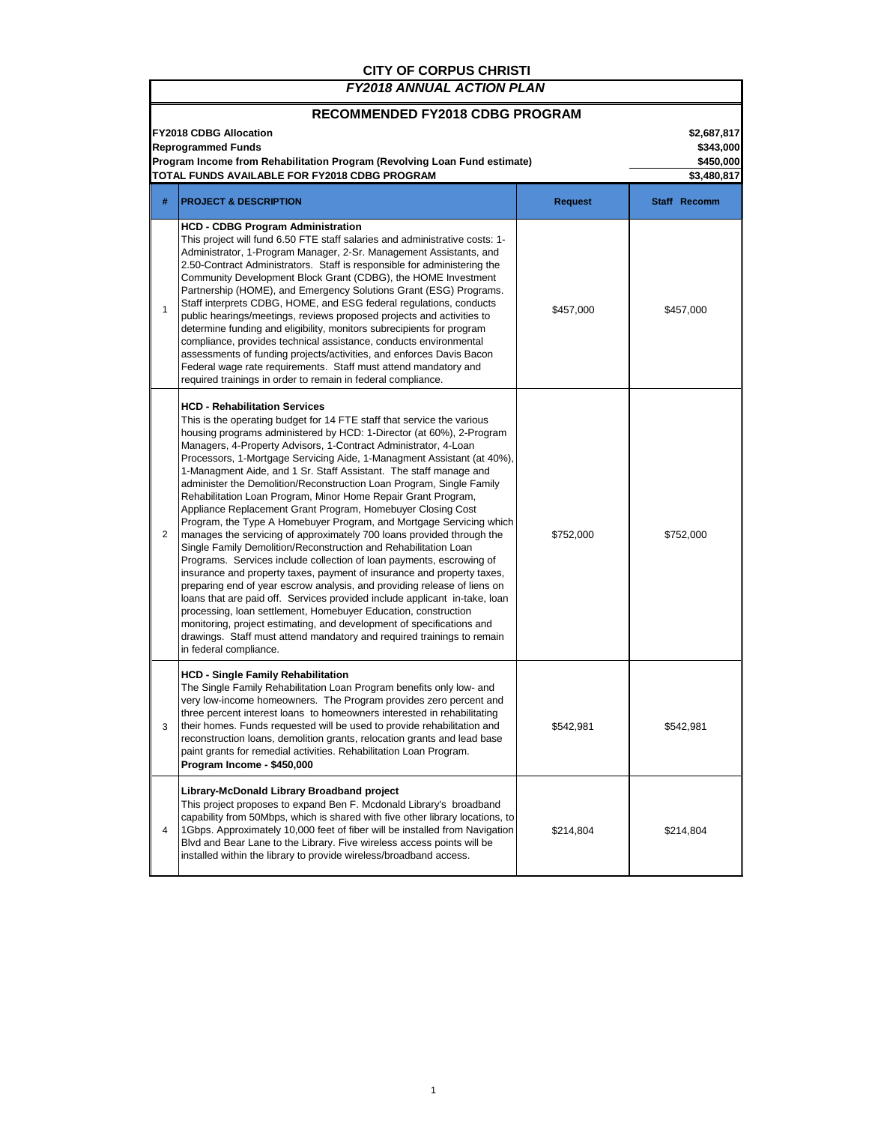## **CITY OF CORPUS CHRISTI**

Г

 $\overline{\phantom{a}}$ 

| RECOMMENDED FY2018 CDBG PROGRAM<br><b>FY2018 CDBG Allocation</b><br><b>Reprogrammed Funds</b><br>Program Income from Rehabilitation Program (Revolving Loan Fund estimate)<br>TOTAL FUNDS AVAILABLE FOR FY2018 CDBG PROGRAM |                                                                                                                                                                                                                                                                                                                                                                                                                                                                                                                                                                                                                                                                                                                                                                                                                                                                                                                                                                                                                                                                                                                                                                                                                                                                                                                                                                                                |                | \$2,687,817<br>\$343,000<br>\$450,000<br>\$3,480,817 |  |
|-----------------------------------------------------------------------------------------------------------------------------------------------------------------------------------------------------------------------------|------------------------------------------------------------------------------------------------------------------------------------------------------------------------------------------------------------------------------------------------------------------------------------------------------------------------------------------------------------------------------------------------------------------------------------------------------------------------------------------------------------------------------------------------------------------------------------------------------------------------------------------------------------------------------------------------------------------------------------------------------------------------------------------------------------------------------------------------------------------------------------------------------------------------------------------------------------------------------------------------------------------------------------------------------------------------------------------------------------------------------------------------------------------------------------------------------------------------------------------------------------------------------------------------------------------------------------------------------------------------------------------------|----------------|------------------------------------------------------|--|
| #                                                                                                                                                                                                                           | <b>PROJECT &amp; DESCRIPTION</b>                                                                                                                                                                                                                                                                                                                                                                                                                                                                                                                                                                                                                                                                                                                                                                                                                                                                                                                                                                                                                                                                                                                                                                                                                                                                                                                                                               | <b>Request</b> | Staff Recomm                                         |  |
| $\mathbf{1}$                                                                                                                                                                                                                | <b>HCD - CDBG Program Administration</b><br>This project will fund 6.50 FTE staff salaries and administrative costs: 1-<br>Administrator, 1-Program Manager, 2-Sr. Management Assistants, and<br>2.50-Contract Administrators. Staff is responsible for administering the<br>Community Development Block Grant (CDBG), the HOME Investment<br>Partnership (HOME), and Emergency Solutions Grant (ESG) Programs.<br>Staff interprets CDBG, HOME, and ESG federal regulations, conducts<br>public hearings/meetings, reviews proposed projects and activities to<br>determine funding and eligibility, monitors subrecipients for program<br>compliance, provides technical assistance, conducts environmental<br>assessments of funding projects/activities, and enforces Davis Bacon<br>Federal wage rate requirements. Staff must attend mandatory and<br>required trainings in order to remain in federal compliance.                                                                                                                                                                                                                                                                                                                                                                                                                                                                        | \$457,000      | \$457,000                                            |  |
| 2                                                                                                                                                                                                                           | <b>HCD - Rehabilitation Services</b><br>This is the operating budget for 14 FTE staff that service the various<br>housing programs administered by HCD: 1-Director (at 60%), 2-Program<br>Managers, 4-Property Advisors, 1-Contract Administrator, 4-Loan<br>Processors, 1-Mortgage Servicing Aide, 1-Managment Assistant (at 40%),<br>1-Managment Aide, and 1 Sr. Staff Assistant. The staff manage and<br>administer the Demolition/Reconstruction Loan Program, Single Family<br>Rehabilitation Loan Program, Minor Home Repair Grant Program,<br>Appliance Replacement Grant Program, Homebuyer Closing Cost<br>Program, the Type A Homebuyer Program, and Mortgage Servicing which<br>manages the servicing of approximately 700 loans provided through the<br>Single Family Demolition/Reconstruction and Rehabilitation Loan<br>Programs. Services include collection of loan payments, escrowing of<br>insurance and property taxes, payment of insurance and property taxes,<br>preparing end of year escrow analysis, and providing release of liens on<br>loans that are paid off. Services provided include applicant in-take, loan<br>processing, Ioan settlement, Homebuyer Education, construction<br>monitoring, project estimating, and development of specifications and<br>drawings. Staff must attend mandatory and required trainings to remain<br>in federal compliance. | \$752,000      | \$752,000                                            |  |
| 3                                                                                                                                                                                                                           | <b>HCD - Single Family Rehabilitation</b><br>The Single Family Rehabilitation Loan Program benefits only low- and<br>very low-income homeowners. The Program provides zero percent and<br>three percent interest loans to homeowners interested in rehabilitating<br>their homes. Funds requested will be used to provide rehabilitation and<br>reconstruction loans, demolition grants, relocation grants and lead base<br>paint grants for remedial activities. Rehabilitation Loan Program.<br>Program Income - \$450,000                                                                                                                                                                                                                                                                                                                                                                                                                                                                                                                                                                                                                                                                                                                                                                                                                                                                   | \$542,981      | \$542,981                                            |  |
| 4                                                                                                                                                                                                                           | Library-McDonald Library Broadband project<br>This project proposes to expand Ben F. Mcdonald Library's broadband<br>capability from 50Mbps, which is shared with five other library locations, to<br>1 Gbps. Approximately 10,000 feet of fiber will be installed from Navigation<br>Blvd and Bear Lane to the Library. Five wireless access points will be<br>installed within the library to provide wireless/broadband access.                                                                                                                                                                                                                                                                                                                                                                                                                                                                                                                                                                                                                                                                                                                                                                                                                                                                                                                                                             | \$214,804      | \$214,804                                            |  |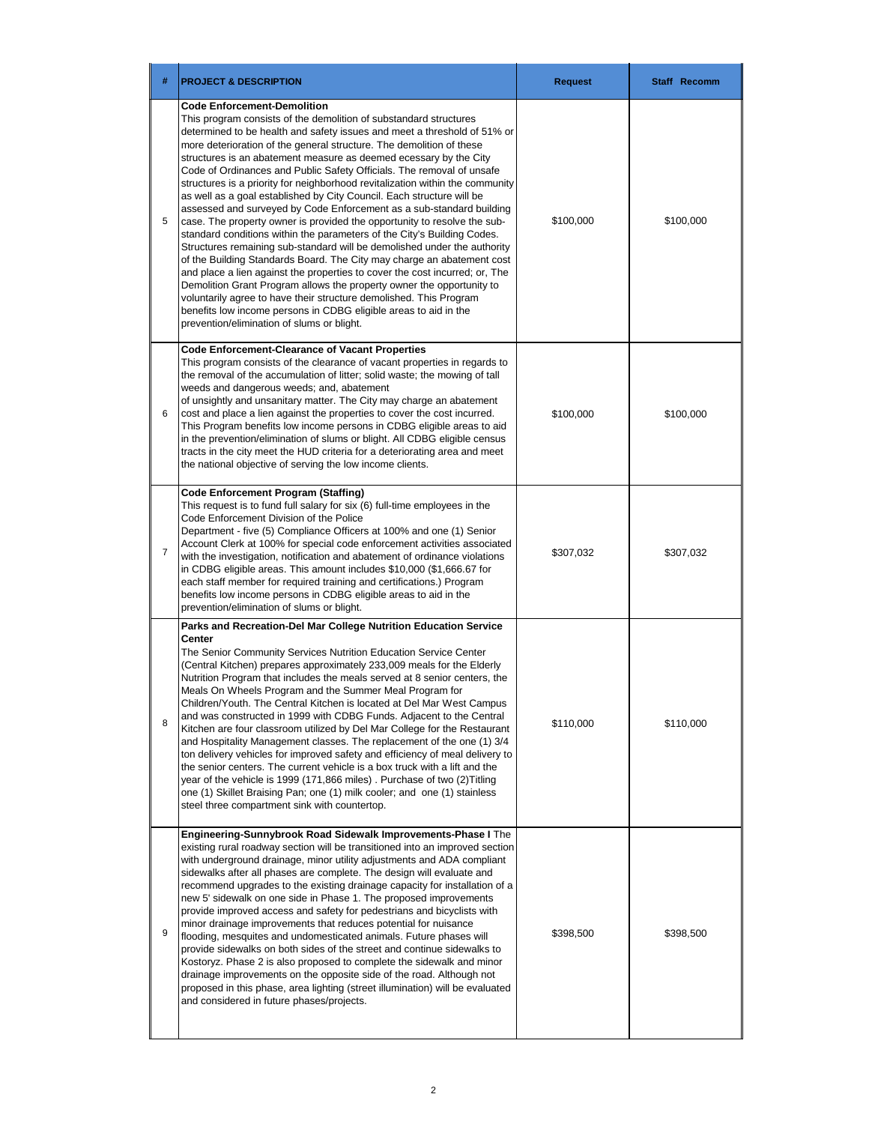| #              | <b>PROJECT &amp; DESCRIPTION</b>                                                                                                                                                                                                                                                                                                                                                                                                                                                                                                                                                                                                                                                                                                                                                                                                                                                                                                                                                                                                                                                                                                                                                                                                                                                                         | <b>Request</b> | Staff Recomm |
|----------------|----------------------------------------------------------------------------------------------------------------------------------------------------------------------------------------------------------------------------------------------------------------------------------------------------------------------------------------------------------------------------------------------------------------------------------------------------------------------------------------------------------------------------------------------------------------------------------------------------------------------------------------------------------------------------------------------------------------------------------------------------------------------------------------------------------------------------------------------------------------------------------------------------------------------------------------------------------------------------------------------------------------------------------------------------------------------------------------------------------------------------------------------------------------------------------------------------------------------------------------------------------------------------------------------------------|----------------|--------------|
| 5              | <b>Code Enforcement-Demolition</b><br>This program consists of the demolition of substandard structures<br>determined to be health and safety issues and meet a threshold of 51% or<br>more deterioration of the general structure. The demolition of these<br>structures is an abatement measure as deemed ecessary by the City<br>Code of Ordinances and Public Safety Officials. The removal of unsafe<br>structures is a priority for neighborhood revitalization within the community<br>as well as a goal established by City Council. Each structure will be<br>assessed and surveyed by Code Enforcement as a sub-standard building<br>case. The property owner is provided the opportunity to resolve the sub-<br>standard conditions within the parameters of the City's Building Codes.<br>Structures remaining sub-standard will be demolished under the authority<br>of the Building Standards Board. The City may charge an abatement cost<br>and place a lien against the properties to cover the cost incurred; or, The<br>Demolition Grant Program allows the property owner the opportunity to<br>voluntarily agree to have their structure demolished. This Program<br>benefits low income persons in CDBG eligible areas to aid in the<br>prevention/elimination of slums or blight. | \$100,000      | \$100,000    |
| 6              | <b>Code Enforcement-Clearance of Vacant Properties</b><br>This program consists of the clearance of vacant properties in regards to<br>the removal of the accumulation of litter; solid waste; the mowing of tall<br>weeds and dangerous weeds; and, abatement<br>of unsightly and unsanitary matter. The City may charge an abatement<br>cost and place a lien against the properties to cover the cost incurred.<br>This Program benefits low income persons in CDBG eligible areas to aid<br>in the prevention/elimination of slums or blight. All CDBG eligible census<br>tracts in the city meet the HUD criteria for a deteriorating area and meet<br>the national objective of serving the low income clients.                                                                                                                                                                                                                                                                                                                                                                                                                                                                                                                                                                                    | \$100,000      | \$100,000    |
| $\overline{7}$ | Code Enforcement Program (Staffing)<br>This request is to fund full salary for six (6) full-time employees in the<br>Code Enforcement Division of the Police<br>Department - five (5) Compliance Officers at 100% and one (1) Senior<br>Account Clerk at 100% for special code enforcement activities associated<br>with the investigation, notification and abatement of ordinance violations<br>in CDBG eligible areas. This amount includes \$10,000 (\$1,666.67 for<br>each staff member for required training and certifications.) Program<br>benefits low income persons in CDBG eligible areas to aid in the<br>prevention/elimination of slums or blight.                                                                                                                                                                                                                                                                                                                                                                                                                                                                                                                                                                                                                                        | \$307,032      | \$307,032    |
| 8              | Parks and Recreation-Del Mar College Nutrition Education Service<br>Center<br>The Senior Community Services Nutrition Education Service Center<br>(Central Kitchen) prepares approximately 233,009 meals for the Elderly<br>Nutrition Program that includes the meals served at 8 senior centers, the<br>Meals On Wheels Program and the Summer Meal Program for<br>Children/Youth. The Central Kitchen is located at Del Mar West Campus<br>and was constructed in 1999 with CDBG Funds. Adjacent to the Central<br>Kitchen are four classroom utilized by Del Mar College for the Restaurant<br>and Hospitality Management classes. The replacement of the one (1) 3/4<br>ton delivery vehicles for improved safety and efficiency of meal delivery to<br>the senior centers. The current vehicle is a box truck with a lift and the<br>year of the vehicle is 1999 (171,866 miles). Purchase of two (2)Titling<br>one (1) Skillet Braising Pan; one (1) milk cooler; and one (1) stainless<br>steel three compartment sink with countertop.                                                                                                                                                                                                                                                           | \$110,000      | \$110,000    |
| 9              | Engineering-Sunnybrook Road Sidewalk Improvements-Phase I The<br>existing rural roadway section will be transitioned into an improved section<br>with underground drainage, minor utility adjustments and ADA compliant<br>sidewalks after all phases are complete. The design will evaluate and<br>recommend upgrades to the existing drainage capacity for installation of a<br>new 5' sidewalk on one side in Phase 1. The proposed improvements<br>provide improved access and safety for pedestrians and bicyclists with<br>minor drainage improvements that reduces potential for nuisance<br>flooding, mesquites and undomesticated animals. Future phases will<br>provide sidewalks on both sides of the street and continue sidewalks to<br>Kostoryz. Phase 2 is also proposed to complete the sidewalk and minor<br>drainage improvements on the opposite side of the road. Although not<br>proposed in this phase, area lighting (street illumination) will be evaluated<br>and considered in future phases/projects.                                                                                                                                                                                                                                                                         | \$398,500      | \$398,500    |